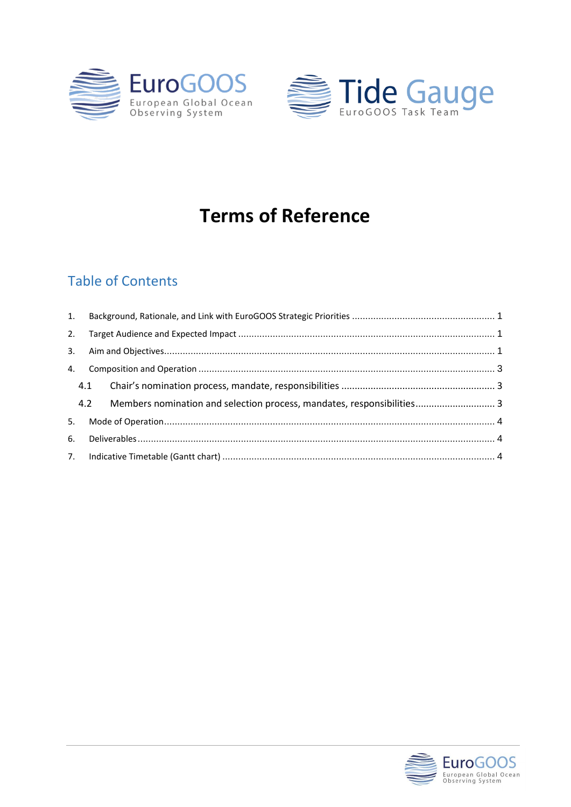



# **Terms of Reference**

## **Table of Contents**

| 1. |  |                                                                            |  |  |  |
|----|--|----------------------------------------------------------------------------|--|--|--|
| 2. |  |                                                                            |  |  |  |
|    |  |                                                                            |  |  |  |
|    |  |                                                                            |  |  |  |
|    |  |                                                                            |  |  |  |
|    |  | 4.2 Members nomination and selection process, mandates, responsibilities 3 |  |  |  |
|    |  |                                                                            |  |  |  |
|    |  |                                                                            |  |  |  |
|    |  |                                                                            |  |  |  |

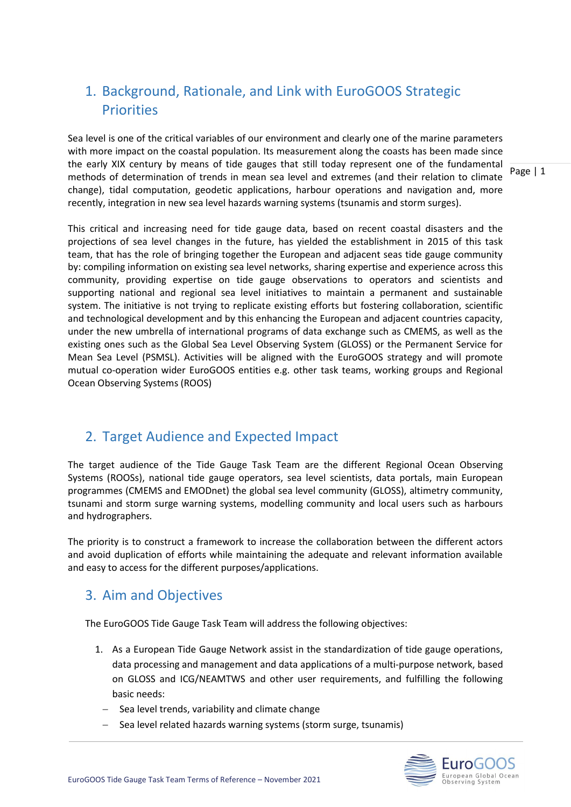## <span id="page-1-0"></span>1. Background, Rationale, and Link with EuroGOOS Strategic **Priorities**

Sea level is one of the critical variables of our environment and clearly one of the marine parameters with more impact on the coastal population. Its measurement along the coasts has been made since the early XIX century by means of tide gauges that still today represent one of the fundamental methods of determination of trends in mean sea level and extremes (and their relation to climate change), tidal computation, geodetic applications, harbour operations and navigation and, more recently, integration in new sea level hazards warning systems (tsunamis and storm surges).

This critical and increasing need for tide gauge data, based on recent coastal disasters and the projections of sea level changes in the future, has yielded the establishment in 2015 of this task team, that has the role of bringing together the European and adjacent seas tide gauge community by: compiling information on existing sea level networks, sharing expertise and experience across this community, providing expertise on tide gauge observations to operators and scientists and supporting national and regional sea level initiatives to maintain a permanent and sustainable system. The initiative is not trying to replicate existing efforts but fostering collaboration, scientific and technological development and by this enhancing the European and adjacent countries capacity, under the new umbrella of international programs of data exchange such as CMEMS, as well as the existing ones such as the Global Sea Level Observing System (GLOSS) or the Permanent Service for Mean Sea Level (PSMSL). Activities will be aligned with the EuroGOOS strategy and will promote mutual co-operation wider EuroGOOS entities e.g. other task teams, working groups and Regional Ocean Observing Systems (ROOS)

## <span id="page-1-1"></span>2. Target Audience and Expected Impact

The target audience of the Tide Gauge Task Team are the different Regional Ocean Observing Systems (ROOSs), national tide gauge operators, sea level scientists, data portals, main European programmes (CMEMS and EMODnet) the global sea level community (GLOSS), altimetry community, tsunami and storm surge warning systems, modelling community and local users such as harbours and hydrographers.

The priority is to construct a framework to increase the collaboration between the different actors and avoid duplication of efforts while maintaining the adequate and relevant information available and easy to access for the different purposes/applications.

## <span id="page-1-2"></span>3. Aim and Objectives

The EuroGOOS Tide Gauge Task Team will address the following objectives:

- 1. As a European Tide Gauge Network assist in the standardization of tide gauge operations, data processing and management and data applications of a multi-purpose network, based on GLOSS and ICG/NEAMTWS and other user requirements, and fulfilling the following basic needs:
	- − Sea level trends, variability and climate change
	- − Sea level related hazards warning systems (storm surge, tsunamis)



Page | 1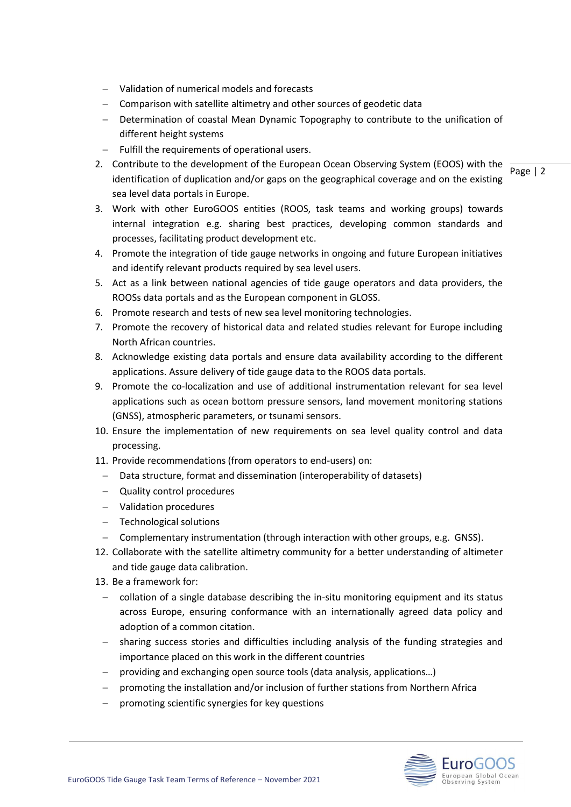- − Validation of numerical models and forecasts
- − Comparison with satellite altimetry and other sources of geodetic data
- − Determination of coastal Mean Dynamic Topography to contribute to the unification of different height systems
- − Fulfill the requirements of operational users.
- Page | 2 2. Contribute to the development of the European Ocean Observing System (EOOS) with the identification of duplication and/or gaps on the geographical coverage and on the existing sea level data portals in Europe.
- 3. Work with other EuroGOOS entities (ROOS, task teams and working groups) towards internal integration e.g. sharing best practices, developing common standards and processes, facilitating product development etc.
- 4. Promote the integration of tide gauge networks in ongoing and future European initiatives and identify relevant products required by sea level users.
- 5. Act as a link between national agencies of tide gauge operators and data providers, the ROOSs data portals and as the European component in GLOSS.
- 6. Promote research and tests of new sea level monitoring technologies.
- 7. Promote the recovery of historical data and related studies relevant for Europe including North African countries.
- 8. Acknowledge existing data portals and ensure data availability according to the different applications. Assure delivery of tide gauge data to the ROOS data portals.
- 9. Promote the co-localization and use of additional instrumentation relevant for sea level applications such as ocean bottom pressure sensors, land movement monitoring stations (GNSS), atmospheric parameters, or tsunami sensors.
- 10. Ensure the implementation of new requirements on sea level quality control and data processing.
- 11. Provide recommendations (from operators to end-users) on:
- Data structure, format and dissemination (interoperability of datasets)
- − Quality control procedures
- − Validation procedures
- − Technological solutions
- − Complementary instrumentation (through interaction with other groups, e.g. GNSS).
- 12. Collaborate with the satellite altimetry community for a better understanding of altimeter and tide gauge data calibration.
- 13. Be a framework for:
- − collation of a single database describing the in-situ monitoring equipment and its status across Europe, ensuring conformance with an internationally agreed data policy and adoption of a common citation.
- − sharing success stories and difficulties including analysis of the funding strategies and importance placed on this work in the different countries
- − providing and exchanging open source tools (data analysis, applications…)
- − promoting the installation and/or inclusion of further stations from Northern Africa
- − promoting scientific synergies for key questions

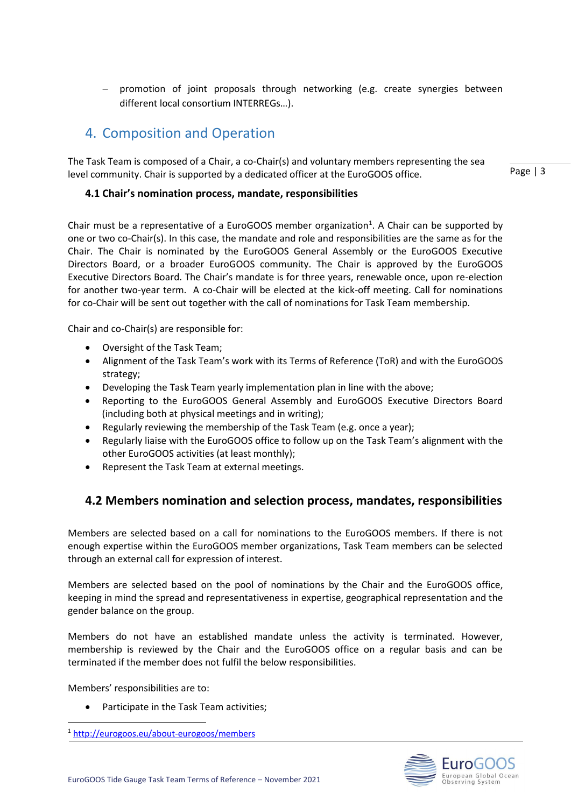promotion of joint proposals through networking (e.g. create synergies between different local consortium INTERREGs…).

## <span id="page-3-0"></span>4. Composition and Operation

The Task Team is composed of a Chair, a co-Chair(s) and voluntary members representing the sea level community. Chair is supported by a dedicated officer at the EuroGOOS office.

Page | 3

#### <span id="page-3-1"></span>**4.1 Chair's nomination process, mandate, responsibilities**

Chair must be a representative of a EuroGOOS member organization<sup>1</sup>. A Chair can be supported by one or two co-Chair(s). In this case, the mandate and role and responsibilities are the same as for the Chair. The Chair is nominated by the EuroGOOS General Assembly or the EuroGOOS Executive Directors Board, or a broader EuroGOOS community. The Chair is approved by the EuroGOOS Executive Directors Board. The Chair's mandate is for three years, renewable once, upon re-election for another two-year term. A co-Chair will be elected at the kick-off meeting. Call for nominations for co-Chair will be sent out together with the call of nominations for Task Team membership.

Chair and co-Chair(s) are responsible for:

- Oversight of the Task Team;
- Alignment of the Task Team's work with its Terms of Reference (ToR) and with the EuroGOOS strategy;
- Developing the Task Team yearly implementation plan in line with the above;
- Reporting to the EuroGOOS General Assembly and EuroGOOS Executive Directors Board (including both at physical meetings and in writing);
- Regularly reviewing the membership of the Task Team (e.g. once a year);
- Regularly liaise with the EuroGOOS office to follow up on the Task Team's alignment with the other EuroGOOS activities (at least monthly);
- Represent the Task Team at external meetings.

#### <span id="page-3-2"></span>**4.2 Members nomination and selection process, mandates, responsibilities**

Members are selected based on a call for nominations to the EuroGOOS members. If there is not enough expertise within the EuroGOOS member organizations, Task Team members can be selected through an external call for expression of interest.

Members are selected based on the pool of nominations by the Chair and the EuroGOOS office, keeping in mind the spread and representativeness in expertise, geographical representation and the gender balance on the group.

Members do not have an established mandate unless the activity is terminated. However, membership is reviewed by the Chair and the EuroGOOS office on a regular basis and can be terminated if the member does not fulfil the below responsibilities.

Members' responsibilities are to:

• Participate in the Task Team activities;



<sup>1</sup> <http://eurogoos.eu/about-eurogoos/members>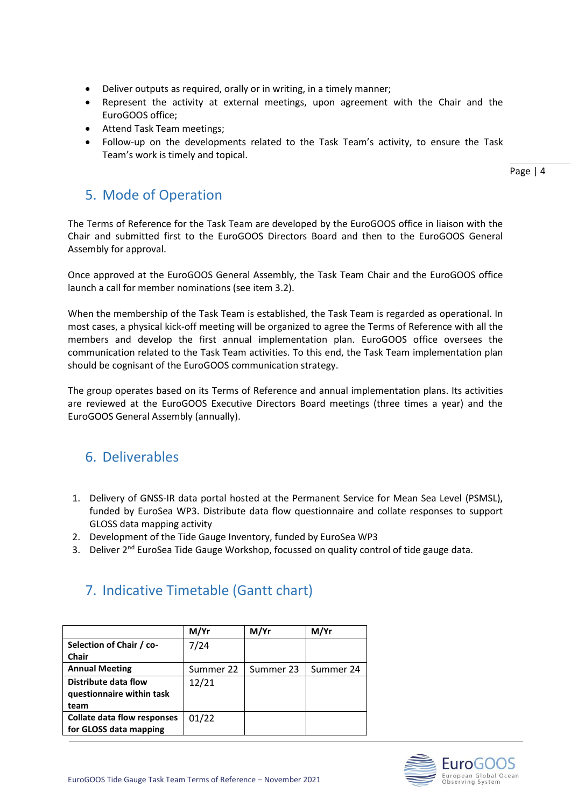- Deliver outputs as required, orally or in writing, in a timely manner;
- Represent the activity at external meetings, upon agreement with the Chair and the EuroGOOS office;
- Attend Task Team meetings;
- Follow-up on the developments related to the Task Team's activity, to ensure the Task Team's work is timely and topical.

Page | 4

### <span id="page-4-0"></span>5. Mode of Operation

The Terms of Reference for the Task Team are developed by the EuroGOOS office in liaison with the Chair and submitted first to the EuroGOOS Directors Board and then to the EuroGOOS General Assembly for approval.

Once approved at the EuroGOOS General Assembly, the Task Team Chair and the EuroGOOS office launch a call for member nominations (see item 3.2).

When the membership of the Task Team is established, the Task Team is regarded as operational. In most cases, a physical kick-off meeting will be organized to agree the Terms of Reference with all the members and develop the first annual implementation plan. EuroGOOS office oversees the communication related to the Task Team activities. To this end, the Task Team implementation plan should be cognisant of the EuroGOOS communication strategy.

The group operates based on its Terms of Reference and annual implementation plans. Its activities are reviewed at the EuroGOOS Executive Directors Board meetings (three times a year) and the EuroGOOS General Assembly (annually).

## <span id="page-4-1"></span>6. Deliverables

- 1. Delivery of GNSS-IR data portal hosted at the Permanent Service for Mean Sea Level (PSMSL), funded by EuroSea WP3. Distribute data flow questionnaire and collate responses to support GLOSS data mapping activity
- 2. Development of the Tide Gauge Inventory, funded by EuroSea WP3
- 3. Deliver 2<sup>nd</sup> EuroSea Tide Gauge Workshop, focussed on quality control of tide gauge data.

|                                    | M/Yr      | M/Yr      | M/Yr      |
|------------------------------------|-----------|-----------|-----------|
| Selection of Chair / co-           | 7/24      |           |           |
| Chair                              |           |           |           |
| <b>Annual Meeting</b>              | Summer 22 | Summer 23 | Summer 24 |
| Distribute data flow               | 12/21     |           |           |
| questionnaire within task          |           |           |           |
| team                               |           |           |           |
| <b>Collate data flow responses</b> | 01/22     |           |           |
| for GLOSS data mapping             |           |           |           |

## <span id="page-4-2"></span>7. Indicative Timetable (Gantt chart)